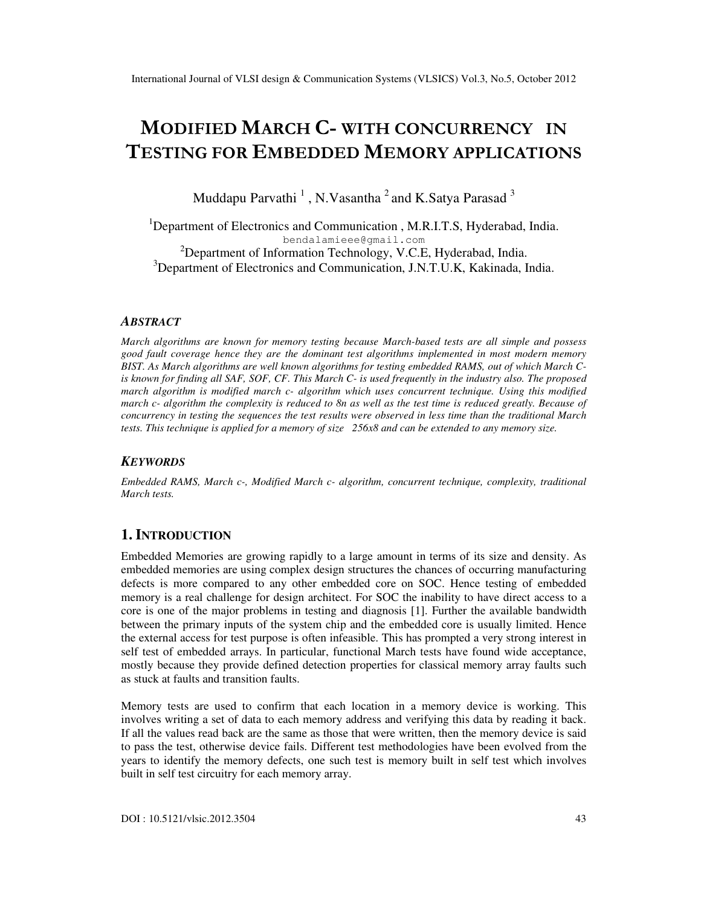# MODIFIED MARCH C- WITH CONCURRENCY IN TESTING FOR EMBEDDED MEMORY APPLICATIONS

Muddapu Parvathi  $^1$  , N.Vasantha  $^2$  and K.Satya Parasad  $^3$ 

<sup>1</sup>Department of Electronics and Communication, M.R.I.T.S, Hyderabad, India. bendalamieee@gmail.com <sup>2</sup>Department of Information Technology, V.C.E, Hyderabad, India. <sup>3</sup>Department of Electronics and Communication, J.N.T.U.K, Kakinada, India.

#### *ABSTRACT*

*March algorithms are known for memory testing because March-based tests are all simple and possess good fault coverage hence they are the dominant test algorithms implemented in most modern memory BIST. As March algorithms are well known algorithms for testing embedded RAMS, out of which March Cis known for finding all SAF, SOF, CF. This March C- is used frequently in the industry also. The proposed march algorithm is modified march c- algorithm which uses concurrent technique. Using this modified march c- algorithm the complexity is reduced to 8n as well as the test time is reduced greatly. Because of concurrency in testing the sequences the test results were observed in less time than the traditional March tests. This technique is applied for a memory of size 256x8 and can be extended to any memory size.* 

#### *KEYWORDS*

*Embedded RAMS, March c-, Modified March c- algorithm, concurrent technique, complexity, traditional March tests.* 

### **1. INTRODUCTION**

Embedded Memories are growing rapidly to a large amount in terms of its size and density. As embedded memories are using complex design structures the chances of occurring manufacturing defects is more compared to any other embedded core on SOC. Hence testing of embedded memory is a real challenge for design architect. For SOC the inability to have direct access to a core is one of the major problems in testing and diagnosis [1]. Further the available bandwidth between the primary inputs of the system chip and the embedded core is usually limited. Hence the external access for test purpose is often infeasible. This has prompted a very strong interest in self test of embedded arrays. In particular, functional March tests have found wide acceptance, mostly because they provide defined detection properties for classical memory array faults such as stuck at faults and transition faults.

Memory tests are used to confirm that each location in a memory device is working. This involves writing a set of data to each memory address and verifying this data by reading it back. If all the values read back are the same as those that were written, then the memory device is said to pass the test, otherwise device fails. Different test methodologies have been evolved from the years to identify the memory defects, one such test is memory built in self test which involves built in self test circuitry for each memory array.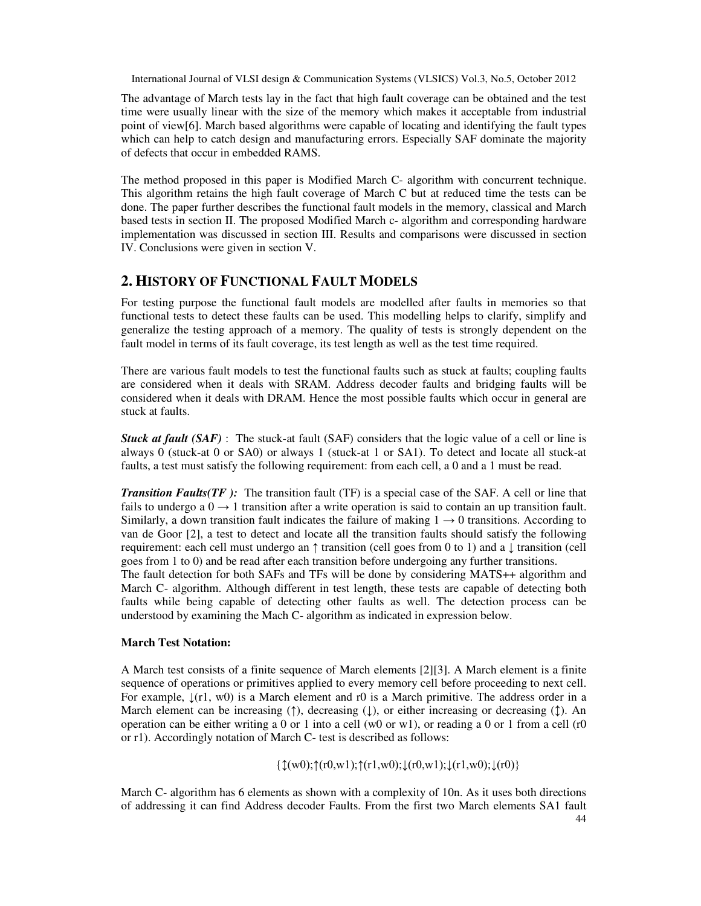The advantage of March tests lay in the fact that high fault coverage can be obtained and the test time were usually linear with the size of the memory which makes it acceptable from industrial point of view[6]. March based algorithms were capable of locating and identifying the fault types which can help to catch design and manufacturing errors. Especially SAF dominate the majority of defects that occur in embedded RAMS.

The method proposed in this paper is Modified March C- algorithm with concurrent technique. This algorithm retains the high fault coverage of March C but at reduced time the tests can be done. The paper further describes the functional fault models in the memory, classical and March based tests in section II. The proposed Modified March c- algorithm and corresponding hardware implementation was discussed in section III. Results and comparisons were discussed in section IV. Conclusions were given in section V.

### **2. HISTORY OF FUNCTIONAL FAULT MODELS**

For testing purpose the functional fault models are modelled after faults in memories so that functional tests to detect these faults can be used. This modelling helps to clarify, simplify and generalize the testing approach of a memory. The quality of tests is strongly dependent on the fault model in terms of its fault coverage, its test length as well as the test time required.

There are various fault models to test the functional faults such as stuck at faults; coupling faults are considered when it deals with SRAM. Address decoder faults and bridging faults will be considered when it deals with DRAM. Hence the most possible faults which occur in general are stuck at faults.

*Stuck at fault (SAF)* : The stuck-at fault (SAF) considers that the logic value of a cell or line is always 0 (stuck-at 0 or SA0) or always 1 (stuck-at 1 or SA1). To detect and locate all stuck-at faults, a test must satisfy the following requirement: from each cell, a 0 and a 1 must be read.

*Transition Faults(TF ):* The transition fault (TF) is a special case of the SAF. A cell or line that fails to undergo a  $0 \rightarrow 1$  transition after a write operation is said to contain an up transition fault. Similarly, a down transition fault indicates the failure of making  $1 \rightarrow 0$  transitions. According to van de Goor [2], a test to detect and locate all the transition faults should satisfy the following requirement: each cell must undergo an ↑ transition (cell goes from 0 to 1) and a ↓ transition (cell goes from 1 to 0) and be read after each transition before undergoing any further transitions. The fault detection for both SAFs and TFs will be done by considering MATS++ algorithm and March C- algorithm. Although different in test length, these tests are capable of detecting both faults while being capable of detecting other faults as well. The detection process can be understood by examining the Mach C- algorithm as indicated in expression below.

#### **March Test Notation:**

A March test consists of a finite sequence of March elements [2][3]. A March element is a finite sequence of operations or primitives applied to every memory cell before proceeding to next cell. For example,  $\downarrow$ (r1, w0) is a March element and r0 is a March primitive. The address order in a March element can be increasing ( $\uparrow$ ), decreasing ( $\downarrow$ ), or either increasing or decreasing ( $\uparrow$ ). An operation can be either writing a 0 or 1 into a cell (w0 or w1), or reading a 0 or 1 from a cell (r0 or r1). Accordingly notation of March C- test is described as follows:

 ${\updownarrow}(w0)$ ; ${\uparrow}(r0,w1)$ ; ${\updownarrow}(r1,w0)$ ; ${\downarrow}(r0,w1)$ ; ${\downarrow}(r1,w0)$ ; ${\downarrow}(r0)$ }

March C- algorithm has 6 elements as shown with a complexity of 10n. As it uses both directions of addressing it can find Address decoder Faults. From the first two March elements SA1 fault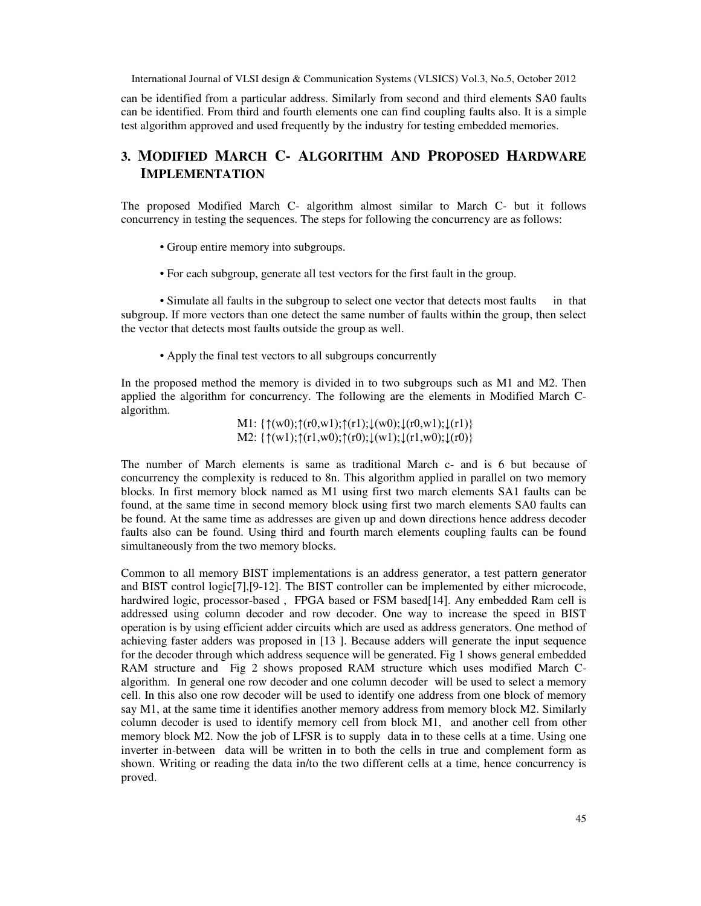can be identified from a particular address. Similarly from second and third elements SA0 faults can be identified. From third and fourth elements one can find coupling faults also. It is a simple test algorithm approved and used frequently by the industry for testing embedded memories.

# **3. MODIFIED MARCH C- ALGORITHM AND PROPOSED HARDWARE IMPLEMENTATION**

The proposed Modified March C- algorithm almost similar to March C- but it follows concurrency in testing the sequences. The steps for following the concurrency are as follows:

- Group entire memory into subgroups.
- For each subgroup, generate all test vectors for the first fault in the group.

 • Simulate all faults in the subgroup to select one vector that detects most faults in that subgroup. If more vectors than one detect the same number of faults within the group, then select the vector that detects most faults outside the group as well.

• Apply the final test vectors to all subgroups concurrently

In the proposed method the memory is divided in to two subgroups such as M1 and M2. Then applied the algorithm for concurrency. The following are the elements in Modified March Calgorithm.

> M1:  ${\uparrow}(w0)$ ; ${\uparrow}(r0,w1)$ ; ${\uparrow}(r1)$ ; ${\downarrow}(w0)$ ; ${\downarrow}(r0,w1)$ ; ${\downarrow}(r1)$ } M2:  $\{\uparrow(w1);\uparrow(r1,w0);\uparrow(r0);\downarrow(w1);\downarrow(r1,w0);\downarrow(r0)\}\$

The number of March elements is same as traditional March c- and is 6 but because of concurrency the complexity is reduced to 8n. This algorithm applied in parallel on two memory blocks. In first memory block named as M1 using first two march elements SA1 faults can be found, at the same time in second memory block using first two march elements SA0 faults can be found. At the same time as addresses are given up and down directions hence address decoder faults also can be found. Using third and fourth march elements coupling faults can be found simultaneously from the two memory blocks.

Common to all memory BIST implementations is an address generator, a test pattern generator and BIST control logic[7],[9-12]. The BIST controller can be implemented by either microcode, hardwired logic, processor-based, FPGA based or FSM based [14]. Any embedded Ram cell is addressed using column decoder and row decoder. One way to increase the speed in BIST operation is by using efficient adder circuits which are used as address generators. One method of achieving faster adders was proposed in [13 ]. Because adders will generate the input sequence for the decoder through which address sequence will be generated. Fig 1 shows general embedded RAM structure and Fig 2 shows proposed RAM structure which uses modified March Calgorithm. In general one row decoder and one column decoder will be used to select a memory cell. In this also one row decoder will be used to identify one address from one block of memory say M1, at the same time it identifies another memory address from memory block M2. Similarly column decoder is used to identify memory cell from block M1, and another cell from other memory block M2. Now the job of LFSR is to supply data in to these cells at a time. Using one inverter in-between data will be written in to both the cells in true and complement form as shown. Writing or reading the data in/to the two different cells at a time, hence concurrency is proved.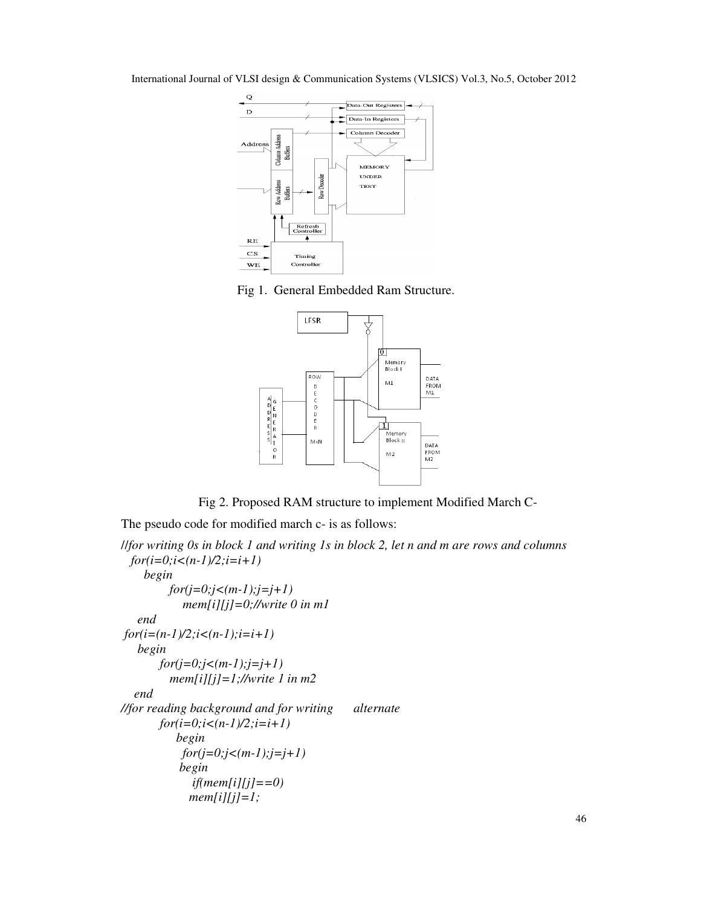





Fig 2. Proposed RAM structure to implement Modified March C-

The pseudo code for modified march c- is as follows:

```
//for writing 0s in block 1 and writing 1s in block 2, let n and m are rows and columns 
  for(i=0;i<(n-1)/2;i=i+1) 
     begin 
          for(j=0;j<(m-1);j=j+1) 
             mem[i][j]=0;//write 0 in m1 
    end 
 for(i=(n-1)/2;i<(n-1);i=i+1) 
    begin 
       for(j=0;j<(m-1);j=j+1) mem[i][j]=1;//write 1 in m2 
   end 
//for reading background and for writing alternate 
        for(i=0;i<(n-1)/2;i=i+1) 
           begin 
             for(j=0;j<(m-1);j=j+1) 
            begin 
               if(mem[i][j]==0) 
              mem[i][j]=1;
```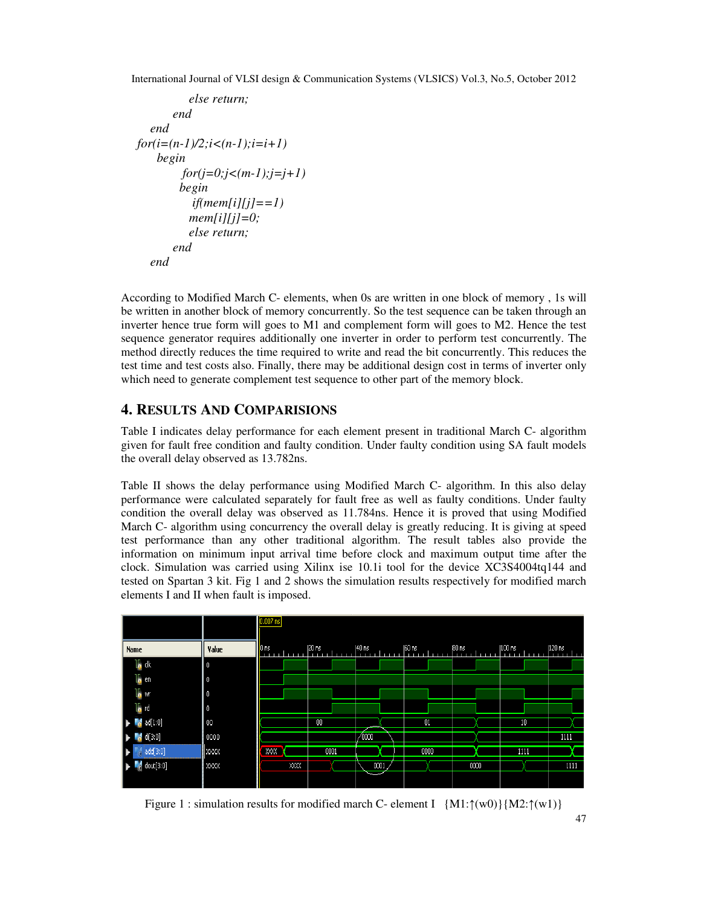```
 else return; 
        end 
    end 
 for(i=(n-1)/2;i<(n-1);i=i+1) 
     begin 
           for(j=0;j<(m-1);j=j+1) 
          begin 
             if(mem[i][j]==1) 
            mem[i][j]=0; 
            else return; 
        end 
    end
```
According to Modified March C- elements, when 0s are written in one block of memory , 1s will be written in another block of memory concurrently. So the test sequence can be taken through an inverter hence true form will goes to M1 and complement form will goes to M2. Hence the test sequence generator requires additionally one inverter in order to perform test concurrently. The method directly reduces the time required to write and read the bit concurrently. This reduces the test time and test costs also. Finally, there may be additional design cost in terms of inverter only which need to generate complement test sequence to other part of the memory block.

## **4. RESULTS AND COMPARISIONS**

Table I indicates delay performance for each element present in traditional March C- algorithm given for fault free condition and faulty condition. Under faulty condition using SA fault models the overall delay observed as 13.782ns.

Table II shows the delay performance using Modified March C- algorithm. In this also delay performance were calculated separately for fault free as well as faulty conditions. Under faulty condition the overall delay was observed as 11.784ns. Hence it is proved that using Modified March C- algorithm using concurrency the overall delay is greatly reducing. It is giving at speed test performance than any other traditional algorithm. The result tables also provide the information on minimum input arrival time before clock and maximum output time after the clock. Simulation was carried using Xilinx ise 10.1i tool for the device XC3S4004tq144 and tested on Spartan 3 kit. Fig 1 and 2 shows the simulation results respectively for modified march elements I and II when fault is imposed.

|                                                       |       | $\boxed{0.007 \text{ ns}}$ |      |          |                   |      |                  |                   |           |          |  |
|-------------------------------------------------------|-------|----------------------------|------|----------|-------------------|------|------------------|-------------------|-----------|----------|--|
| Name                                                  | Value | <b>O</b> ns                |      | $ 20$ ns | 140 <sub>ns</sub> |      | 60 <sub>ns</sub> | $ 80 \text{ ns} $ | $ 100$ ns | $120$ ns |  |
| $\mathbb{R}$ ck                                       | Ι٥    |                            |      |          |                   |      |                  |                   |           |          |  |
| $\mathbb{I}_0$ en                                     | 0     |                            |      |          |                   |      |                  |                   |           |          |  |
| $\mathbb{I}_0$ wr                                     | ю.    |                            |      |          |                   |      |                  |                   |           |          |  |
| 1∭ rd                                                 | ю     |                            |      |          |                   |      |                  |                   |           |          |  |
| $\blacksquare$ ad[1:0]<br>l D                         | 00    |                            |      | 00       |                   |      | $\overline{01}$  |                   | 10        |          |  |
| $\int$ di $[3:0]$<br>ь                                | 0000  |                            |      |          | /0000             |      |                  |                   |           | 1111     |  |
| add[3:0]                                              | xxxx  | XXXX                       |      | 0001     |                   |      | 0000             |                   | 1111      |          |  |
| $\blacktriangleright$ $\blacktriangleright$ dout[3:0] | xxxx  |                            | XXXX |          |                   | 0001 |                  | 0000              |           | 1111     |  |
|                                                       |       |                            |      |          |                   |      |                  |                   |           |          |  |

Figure 1 : simulation results for modified march C- element I  ${M1:\text{N}(w0)}{M2:\text{N}(w1)}$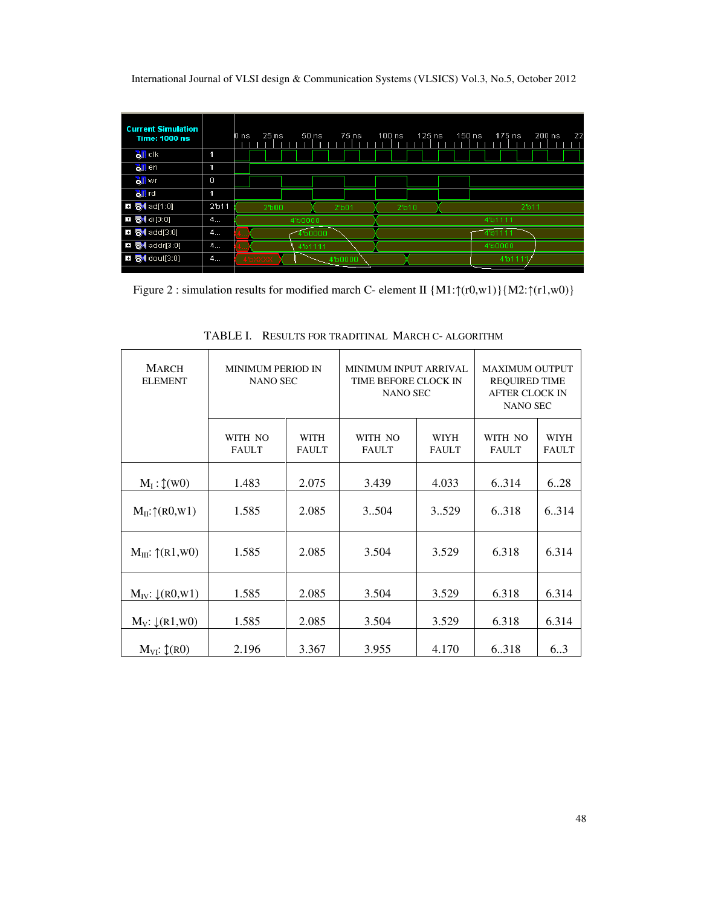| <b>Current Simulation</b><br><b>Time: 1000 ns</b> |          | D ns | $25$ ns |                     | 50 <sub>ns</sub> |         | 75 ns |  | 100 ns |       | 125 ns |  | 150 ns |         | 175 ns |       | 200 ns | -22 |
|---------------------------------------------------|----------|------|---------|---------------------|------------------|---------|-------|--|--------|-------|--------|--|--------|---------|--------|-------|--------|-----|
| $\frac{1}{2}$ clk                                 |          |      |         |                     |                  |         |       |  |        |       |        |  |        |         |        |       |        |     |
| a <mark>j∏</mark> en                              |          |      |         |                     |                  |         |       |  |        |       |        |  |        |         |        |       |        |     |
| o <mark>ll</mark> wr                              | $\Omega$ |      |         |                     |                  |         |       |  |        |       |        |  |        |         |        |       |        |     |
| p <mark>。</mark> [l rd                            | 1        |      |         |                     |                  |         |       |  |        |       |        |  |        |         |        |       |        |     |
| $\blacksquare$ $\blacksquare$ ad[1:0]             | 2'b11    |      | 2'b00   |                     |                  | 2'b01   |       |  |        | 2'b10 |        |  |        |         |        | 2'b11 |        |     |
| $\blacksquare$ $\lozenge$ di[3:0]                 | 4        |      |         | 4'b0000             |                  |         |       |  |        |       |        |  |        | 4'b1111 |        |       |        |     |
| $\blacksquare$ $\lozenge$ add[3:0]                | 4        |      |         |                     | 4'b0000          |         |       |  |        |       |        |  |        | 4'b1111 |        |       |        |     |
| $\blacksquare$ $\lozenge$ addr[3:0]               | 4        |      |         | 4 <sup>b</sup> 1111 |                  |         |       |  |        |       |        |  |        | 4'b0000 |        |       |        |     |
| $\blacksquare$ $\blacksquare$ dout[3:0]           | 4        |      |         |                     |                  | 4'b0000 |       |  |        |       |        |  |        |         | 4'b111 |       |        |     |
|                                                   |          |      |         |                     |                  |         |       |  |        |       |        |  |        |         |        |       |        |     |

Figure 2 : simulation results for modified march C- element II {M1:↑(r0,w1)}{M2:↑(r1,w0)}

| <b>MARCH</b><br><b>ELEMENT</b> | <b>MINIMUM PERIOD IN</b><br><b>NANO SEC</b> |                             | MINIMUM INPUT ARRIVAL<br>TIME BEFORE CLOCK IN<br><b>NANO SEC</b> |                             | <b>MAXIMUM OUTPUT</b><br><b>REQUIRED TIME</b><br><b>AFTER CLOCK IN</b><br><b>NANO SEC</b> |                             |  |  |
|--------------------------------|---------------------------------------------|-----------------------------|------------------------------------------------------------------|-----------------------------|-------------------------------------------------------------------------------------------|-----------------------------|--|--|
|                                | WITH NO<br><b>FAULT</b>                     | <b>WITH</b><br><b>FAULT</b> | WITH NO<br><b>FAULT</b>                                          | <b>WIYH</b><br><b>FAULT</b> | WITH NO<br><b>FAULT</b>                                                                   | <b>WIYH</b><br><b>FAULT</b> |  |  |
| $M_I : \mathcal{I}(W0)$        | 1.483                                       | 2.075                       | 3.439                                                            | 4.033                       | 6.314                                                                                     | 6.28                        |  |  |
| $M_{II}$ : $\uparrow$ (RO, W1) | 1.585                                       | 2.085                       | 3.504                                                            | 3.529                       | 6.318                                                                                     | 6.314                       |  |  |
| $M_{III}$ : $\uparrow$ (R1,W0) | 1.585                                       | 2.085                       | 3.504                                                            | 3.529                       | 6.318                                                                                     | 6.314                       |  |  |
| $M_{IV}: \downarrow (R0,W1)$   | 1.585                                       | 2.085                       | 3.504                                                            | 3.529                       | 6.318                                                                                     | 6.314                       |  |  |
| $M_V: \downarrow (R1, W0)$     | 1.585                                       | 2.085                       | 3.504                                                            | 3.529                       | 6.318                                                                                     | 6.314                       |  |  |
| $M_{VI}$ : $\updownarrow (R0)$ | 2.196                                       | 3.367                       | 3.955                                                            | 4.170                       | 6.318                                                                                     | 6.3                         |  |  |

TABLE I. RESULTS FOR TRADITINAL MARCH C- ALGORITHM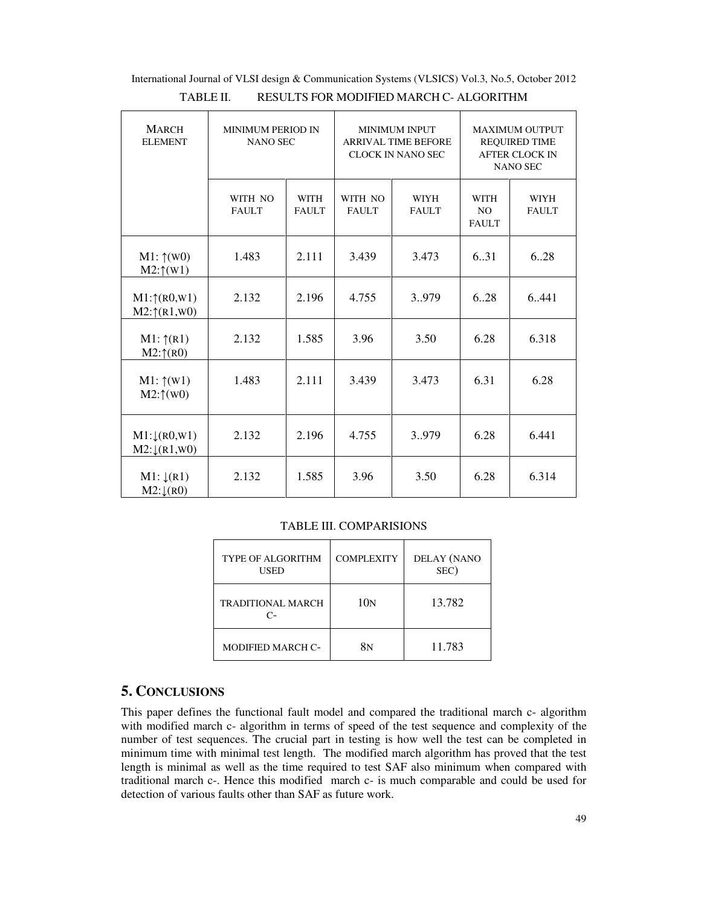| <b>MARCH</b><br><b>ELEMENT</b>                   | <b>MINIMUM PERIOD IN</b><br>NANO SEC |                             |       | <b>MINIMUM INPUT</b><br><b>ARRIVAL TIME BEFORE</b><br><b>CLOCK IN NANO SEC</b> | <b>MAXIMUM OUTPUT</b><br><b>REQUIRED TIME</b><br><b>AFTER CLOCK IN</b><br><b>NANO SEC</b> |                             |  |  |  |
|--------------------------------------------------|--------------------------------------|-----------------------------|-------|--------------------------------------------------------------------------------|-------------------------------------------------------------------------------------------|-----------------------------|--|--|--|
|                                                  | WITH NO<br><b>FAULT</b>              | <b>WITH</b><br><b>FAULT</b> |       | <b>WIYH</b><br><b>FAULT</b>                                                    | <b>WITH</b><br>N <sub>O</sub><br><b>FAULT</b>                                             | <b>WIYH</b><br><b>FAULT</b> |  |  |  |
| $M1: \uparrow(W0)$<br>$M2:\uparrow(W1)$          | 1.483                                | 2.111                       | 3.439 | 3.473                                                                          | 6.31                                                                                      | 628                         |  |  |  |
| $M1:\hat{}}(R0,W1)$<br>$M2:\uparrow(R1,W0)$      | 2.132                                | 2.196                       | 4.755 | 3.979                                                                          | 628                                                                                       | 6.441                       |  |  |  |
| $M1: \uparrow(R1)$<br>$M2:\uparrow(R0)$          | 2.132                                | 1.585                       | 3.96  | 3.50                                                                           | 6.28                                                                                      | 6.318                       |  |  |  |
| $M1: \uparrow(W1)$<br>$M2:\uparrow(W0)$          | 1.483                                | 2.111                       | 3.439 | 3.473                                                                          | 6.31                                                                                      | 6.28                        |  |  |  |
| $M1:\downarrow(R0,W1)$<br>$M2:\downarrow(R1,W0)$ | 2.132                                | 2.196                       | 4.755 | 3.979                                                                          | 6.28                                                                                      | 6.441                       |  |  |  |
| $M1: \downarrow (R1)$<br>$M2:\downarrow(R0)$     | 2.132                                | 1.585                       |       | 3.50                                                                           | 6.28                                                                                      | 6.314                       |  |  |  |

### TABLE II. RESULTS FOR MODIFIED MARCH C- ALGORITHM

#### TABLE III. COMPARISIONS

| <b>TYPE OF ALGORITHM</b><br><b>USED</b> | <b>COMPLEXITY</b> | DELAY (NANO<br>SEC) |
|-----------------------------------------|-------------------|---------------------|
| <b>TRADITIONAL MARCH</b>                | 10 <sub>N</sub>   | 13.782              |
| <b>MODIFIED MARCH C-</b>                | ЯN                | 11.783              |

### **5. CONCLUSIONS**

This paper defines the functional fault model and compared the traditional march c- algorithm with modified march c- algorithm in terms of speed of the test sequence and complexity of the number of test sequences. The crucial part in testing is how well the test can be completed in minimum time with minimal test length. The modified march algorithm has proved that the test length is minimal as well as the time required to test SAF also minimum when compared with traditional march c-. Hence this modified march c- is much comparable and could be used for detection of various faults other than SAF as future work.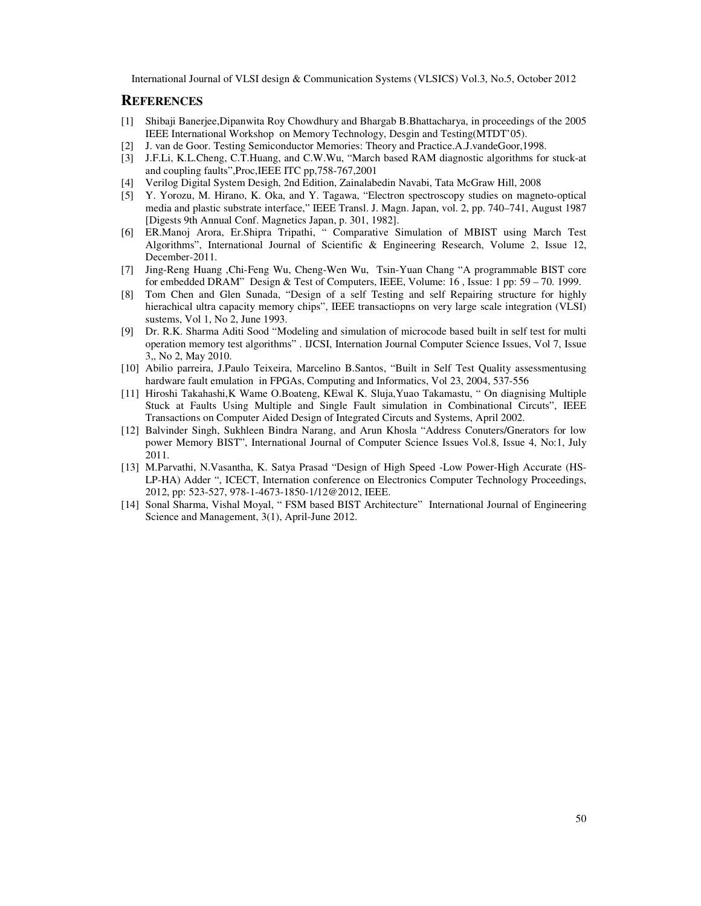#### **REFERENCES**

- [1] Shibaji Banerjee,Dipanwita Roy Chowdhury and Bhargab B.Bhattacharya, in proceedings of the 2005 IEEE International Workshop on Memory Technology, Desgin and Testing(MTDT'05).
- [2] J. van de Goor. Testing Semiconductor Memories: Theory and Practice.A.J.vandeGoor,1998.
- [3] J.F.Li, K.L.Cheng, C.T.Huang, and C.W.Wu, "March based RAM diagnostic algorithms for stuck-at and coupling faults",Proc,IEEE ITC pp,758-767,2001
- [4] Verilog Digital System Desigh, 2nd Edition, Zainalabedin Navabi, Tata McGraw Hill, 2008
- [5] Y. Yorozu, M. Hirano, K. Oka, and Y. Tagawa, "Electron spectroscopy studies on magneto-optical media and plastic substrate interface," IEEE Transl. J. Magn. Japan, vol. 2, pp. 740–741, August 1987 [Digests 9th Annual Conf. Magnetics Japan, p. 301, 1982].
- [6] ER.Manoj Arora, Er.Shipra Tripathi, " Comparative Simulation of MBIST using March Test Algorithms", International Journal of Scientific & Engineering Research, Volume 2, Issue 12, December-2011.
- [7] Jing-Reng Huang ,Chi-Feng Wu, Cheng-Wen Wu, Tsin-Yuan Chang "A programmable BIST core for embedded DRAM" Design & Test of Computers, IEEE, Volume: 16 , Issue: 1 pp: 59 – 70. 1999.
- [8] Tom Chen and Glen Sunada, "Design of a self Testing and self Repairing structure for highly hierachical ultra capacity memory chips", IEEE transactiopns on very large scale integration (VLSI) sustems, Vol 1, No 2, June 1993.
- [9] Dr. R.K. Sharma Aditi Sood "Modeling and simulation of microcode based built in self test for multi operation memory test algorithms" . IJCSI, Internation Journal Computer Science Issues, Vol 7, Issue 3,, No 2, May 2010.
- [10] Abilio parreira, J.Paulo Teixeira, Marcelino B.Santos, "Built in Self Test Quality assessmentusing hardware fault emulation in FPGAs, Computing and Informatics, Vol 23, 2004, 537-556
- [11] Hiroshi Takahashi,K Wame O.Boateng, KEwal K. Sluja,Yuao Takamastu, " On diagnising Multiple Stuck at Faults Using Multiple and Single Fault simulation in Combinational Circuts", IEEE Transactions on Computer Aided Design of Integrated Circuts and Systems, April 2002.
- [12] Balvinder Singh, Sukhleen Bindra Narang, and Arun Khosla "Address Conuters/Gnerators for low power Memory BIST", International Journal of Computer Science Issues Vol.8, Issue 4, No:1, July 2011.
- [13] M.Parvathi, N.Vasantha, K. Satya Prasad "Design of High Speed -Low Power-High Accurate (HS-LP-HA) Adder ", ICECT, Internation conference on Electronics Computer Technology Proceedings, 2012, pp: 523-527, 978-1-4673-1850-1/12@2012, IEEE.
- [14] Sonal Sharma, Vishal Moyal, " FSM based BIST Architecture" International Journal of Engineering Science and Management, 3(1), April-June 2012.